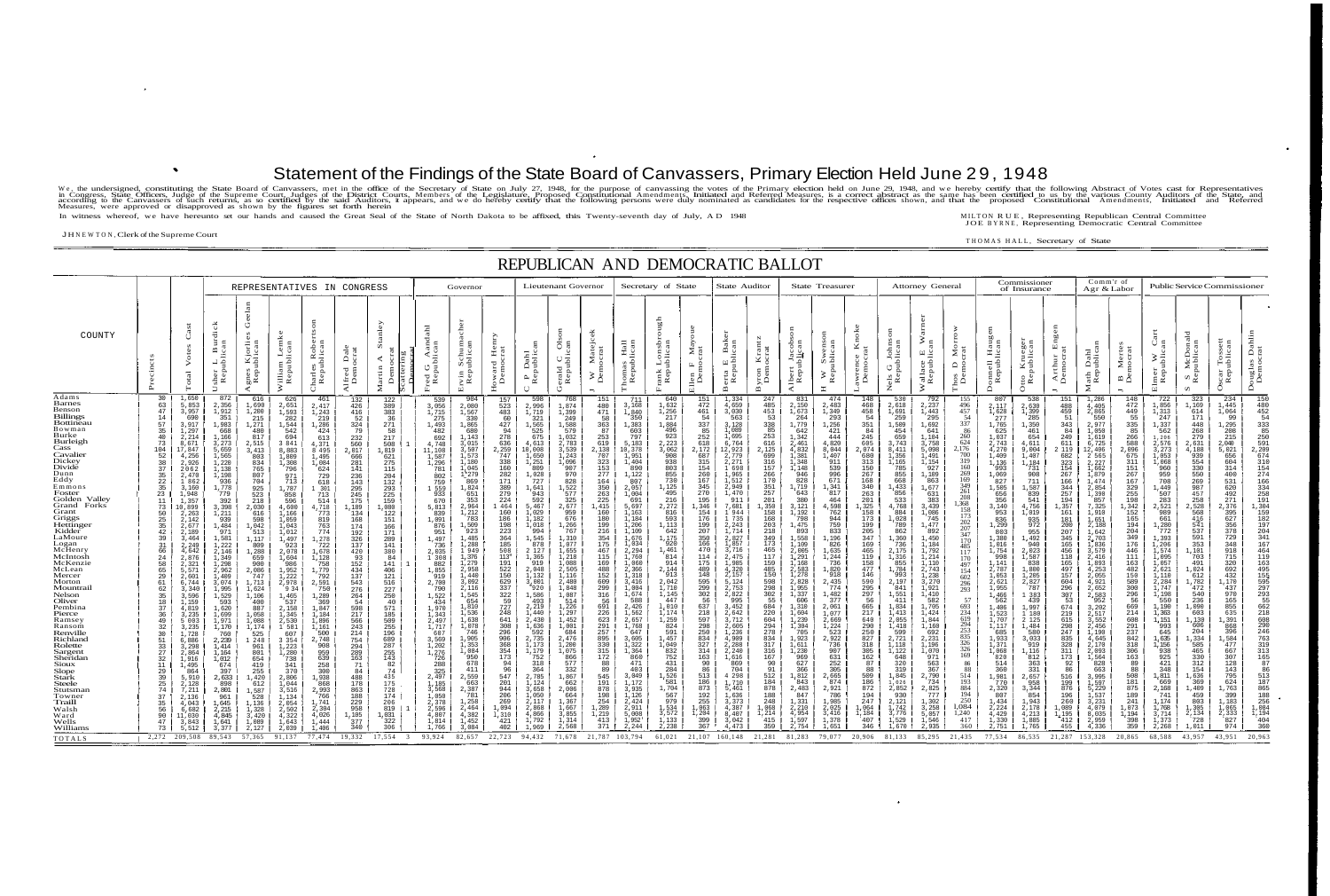## J H NEWTON , Clerk of the Supreme Court —<br>———————————

 $\equiv$ 

## Statement of the Findings of the State Board of Canvassers, Primary Election Held June 29 , 1948

We, the undersigned, constituting the State Board of Canvassers, met in the office of the Secretary of State on July 27, 1948, for the purpose of canvassing the votes of the Primary election held on June 29, 1948, and we h In witness whereof, we have hereunto set our hands and caused the Great Seal of the State of North Dakota to be affixed, this Twenty-seventh day of July, A D 1948 MILTON RUE, Representing Republican Central Committee

|                                                                                                                                                                                                                                                                                                                                                                                                                                                                                                                                                                                       |                                                                                                                                                                                                                                                                                                                                                                                                                                            |                                                                                                                                                                                                                                                                                                                                                                                                                                                                                                                                                                     |                                                                                                                                                                                                                                                                                                                                                                                                                                                                                                                                                                                                                                                                                                                                                                        | REPUBLICAN AND DEMOCRATIC BALLOT                                                                                                                                                                                                                                                                                                                                                                                                                                                                                                                                |                                                                                                                                                                                                                                                                                                                                                                                                                                                                                                                                                                                                                           |                                                                                                                                                                                                                                                                                                                                                                                                                                                                          |                                                                                                                                                                                                                                                                                                                                                                                                                                                                              |                                                                                                                                                                                                                                                                                                                                                                                                                                                                                                                     |                                                                                                                                                                                                                                                                                                                                                                                                                                                                                                |                                                                                                                                                                                                                                                                                                                                                                                                                                                                                                        |                                                                                                                                                                                                                                                                                                                                                                                                                                                                                 |                                                                                                                                                                                                                                                                                                                                                                                                                                                                                |                                                                                                                                                                                                                                                                                                                                                                                                                                                                                                                                                                                     |                                                                                                                                                                                                                                                                                                                                                                                                                                                      |                                                                                                                                                                                                                                                                                                                                                                                                                                                                                                       |                                                                                                                                                                                                                                                                                                                                                                                                                                                                    |                                                                                                                                                                                                                                                                                                                                                                                                                                    |                                                                                                                                                                                                                                                                                                                                                                                                                                                                                                                                                                         |                                                                                                                                                                                                                                                                                                                                                                                                                                                                                            |                                                                                                                                                                                                                                                                                                                                                                                                                                                                                                                         |                                                                                                                                                                                                                                                                                                                                                                                                                                                                                                |                                                                                                                                                                                                                                                                                                                                                                                                                                                            |                                                                                                                                                                                                                                                                                                                                                                                                                                                                                                                                    |                                                                                                                                                                                                                                                                                                                                                                                                                                                                                                                                           |                                                                                                                                                                                                                                                                                                                                                                                                                                                  |                                                                                                                                                                                                                                                                                                                                                                                                                                                                                                                                                                      |                                                                                                                                                                                                                                                                                                                                                                                                                                                                                                                            |                                                                                                                                                                                                                                                                                                                                                                                                                                                           |                                                                                                                                                                                                                                                                                                                                                                                                                                                                                                                                                |                                                                                                                                                                                                                                                                                                                                                                                                                                                                           |                                                                                                                                                                                                                                                                                                                                                                                                                                                                           |                                                                                                                                                                                                                                                                                                                                                                                                                                                           |                                                                                                                                                                                                                                                                                                                                                                                                                              |                                                                                                                                                                                                                                                |
|---------------------------------------------------------------------------------------------------------------------------------------------------------------------------------------------------------------------------------------------------------------------------------------------------------------------------------------------------------------------------------------------------------------------------------------------------------------------------------------------------------------------------------------------------------------------------------------|--------------------------------------------------------------------------------------------------------------------------------------------------------------------------------------------------------------------------------------------------------------------------------------------------------------------------------------------------------------------------------------------------------------------------------------------|---------------------------------------------------------------------------------------------------------------------------------------------------------------------------------------------------------------------------------------------------------------------------------------------------------------------------------------------------------------------------------------------------------------------------------------------------------------------------------------------------------------------------------------------------------------------|------------------------------------------------------------------------------------------------------------------------------------------------------------------------------------------------------------------------------------------------------------------------------------------------------------------------------------------------------------------------------------------------------------------------------------------------------------------------------------------------------------------------------------------------------------------------------------------------------------------------------------------------------------------------------------------------------------------------------------------------------------------------|-----------------------------------------------------------------------------------------------------------------------------------------------------------------------------------------------------------------------------------------------------------------------------------------------------------------------------------------------------------------------------------------------------------------------------------------------------------------------------------------------------------------------------------------------------------------|---------------------------------------------------------------------------------------------------------------------------------------------------------------------------------------------------------------------------------------------------------------------------------------------------------------------------------------------------------------------------------------------------------------------------------------------------------------------------------------------------------------------------------------------------------------------------------------------------------------------------|--------------------------------------------------------------------------------------------------------------------------------------------------------------------------------------------------------------------------------------------------------------------------------------------------------------------------------------------------------------------------------------------------------------------------------------------------------------------------|------------------------------------------------------------------------------------------------------------------------------------------------------------------------------------------------------------------------------------------------------------------------------------------------------------------------------------------------------------------------------------------------------------------------------------------------------------------------------|---------------------------------------------------------------------------------------------------------------------------------------------------------------------------------------------------------------------------------------------------------------------------------------------------------------------------------------------------------------------------------------------------------------------------------------------------------------------------------------------------------------------|------------------------------------------------------------------------------------------------------------------------------------------------------------------------------------------------------------------------------------------------------------------------------------------------------------------------------------------------------------------------------------------------------------------------------------------------------------------------------------------------|--------------------------------------------------------------------------------------------------------------------------------------------------------------------------------------------------------------------------------------------------------------------------------------------------------------------------------------------------------------------------------------------------------------------------------------------------------------------------------------------------------|---------------------------------------------------------------------------------------------------------------------------------------------------------------------------------------------------------------------------------------------------------------------------------------------------------------------------------------------------------------------------------------------------------------------------------------------------------------------------------|--------------------------------------------------------------------------------------------------------------------------------------------------------------------------------------------------------------------------------------------------------------------------------------------------------------------------------------------------------------------------------------------------------------------------------------------------------------------------------|-------------------------------------------------------------------------------------------------------------------------------------------------------------------------------------------------------------------------------------------------------------------------------------------------------------------------------------------------------------------------------------------------------------------------------------------------------------------------------------------------------------------------------------------------------------------------------------|------------------------------------------------------------------------------------------------------------------------------------------------------------------------------------------------------------------------------------------------------------------------------------------------------------------------------------------------------------------------------------------------------------------------------------------------------|-------------------------------------------------------------------------------------------------------------------------------------------------------------------------------------------------------------------------------------------------------------------------------------------------------------------------------------------------------------------------------------------------------------------------------------------------------------------------------------------------------|--------------------------------------------------------------------------------------------------------------------------------------------------------------------------------------------------------------------------------------------------------------------------------------------------------------------------------------------------------------------------------------------------------------------------------------------------------------------|------------------------------------------------------------------------------------------------------------------------------------------------------------------------------------------------------------------------------------------------------------------------------------------------------------------------------------------------------------------------------------------------------------------------------------|-------------------------------------------------------------------------------------------------------------------------------------------------------------------------------------------------------------------------------------------------------------------------------------------------------------------------------------------------------------------------------------------------------------------------------------------------------------------------------------------------------------------------------------------------------------------------|--------------------------------------------------------------------------------------------------------------------------------------------------------------------------------------------------------------------------------------------------------------------------------------------------------------------------------------------------------------------------------------------------------------------------------------------------------------------------------------------|-------------------------------------------------------------------------------------------------------------------------------------------------------------------------------------------------------------------------------------------------------------------------------------------------------------------------------------------------------------------------------------------------------------------------------------------------------------------------------------------------------------------------|------------------------------------------------------------------------------------------------------------------------------------------------------------------------------------------------------------------------------------------------------------------------------------------------------------------------------------------------------------------------------------------------------------------------------------------------------------------------------------------------|------------------------------------------------------------------------------------------------------------------------------------------------------------------------------------------------------------------------------------------------------------------------------------------------------------------------------------------------------------------------------------------------------------------------------------------------------------|------------------------------------------------------------------------------------------------------------------------------------------------------------------------------------------------------------------------------------------------------------------------------------------------------------------------------------------------------------------------------------------------------------------------------------------------------------------------------------------------------------------------------------|-------------------------------------------------------------------------------------------------------------------------------------------------------------------------------------------------------------------------------------------------------------------------------------------------------------------------------------------------------------------------------------------------------------------------------------------------------------------------------------------------------------------------------------------|--------------------------------------------------------------------------------------------------------------------------------------------------------------------------------------------------------------------------------------------------------------------------------------------------------------------------------------------------------------------------------------------------------------------------------------------------|----------------------------------------------------------------------------------------------------------------------------------------------------------------------------------------------------------------------------------------------------------------------------------------------------------------------------------------------------------------------------------------------------------------------------------------------------------------------------------------------------------------------------------------------------------------------|----------------------------------------------------------------------------------------------------------------------------------------------------------------------------------------------------------------------------------------------------------------------------------------------------------------------------------------------------------------------------------------------------------------------------------------------------------------------------------------------------------------------------|-----------------------------------------------------------------------------------------------------------------------------------------------------------------------------------------------------------------------------------------------------------------------------------------------------------------------------------------------------------------------------------------------------------------------------------------------------------|------------------------------------------------------------------------------------------------------------------------------------------------------------------------------------------------------------------------------------------------------------------------------------------------------------------------------------------------------------------------------------------------------------------------------------------------------------------------------------------------------------------------------------------------|---------------------------------------------------------------------------------------------------------------------------------------------------------------------------------------------------------------------------------------------------------------------------------------------------------------------------------------------------------------------------------------------------------------------------------------------------------------------------|---------------------------------------------------------------------------------------------------------------------------------------------------------------------------------------------------------------------------------------------------------------------------------------------------------------------------------------------------------------------------------------------------------------------------------------------------------------------------|-----------------------------------------------------------------------------------------------------------------------------------------------------------------------------------------------------------------------------------------------------------------------------------------------------------------------------------------------------------------------------------------------------------------------------------------------------------|------------------------------------------------------------------------------------------------------------------------------------------------------------------------------------------------------------------------------------------------------------------------------------------------------------------------------------------------------------------------------------------------------------------------------|------------------------------------------------------------------------------------------------------------------------------------------------------------------------------------------------------------------------------------------------|
|                                                                                                                                                                                                                                                                                                                                                                                                                                                                                                                                                                                       |                                                                                                                                                                                                                                                                                                                                                                                                                                            |                                                                                                                                                                                                                                                                                                                                                                                                                                                                                                                                                                     | REPRESENTATIVES IN CONGRESS                                                                                                                                                                                                                                                                                                                                                                                                                                                                                                                                                                                                                                                                                                                                            |                                                                                                                                                                                                                                                                                                                                                                                                                                                                                                                                                                 |                                                                                                                                                                                                                                                                                                                                                                                                                                                                                                                                                                                                                           |                                                                                                                                                                                                                                                                                                                                                                                                                                                                          |                                                                                                                                                                                                                                                                                                                                                                                                                                                                              |                                                                                                                                                                                                                                                                                                                                                                                                                                                                                                                     |                                                                                                                                                                                                                                                                                                                                                                                                                                                                                                | Governor                                                                                                                                                                                                                                                                                                                                                                                                                                                                                               |                                                                                                                                                                                                                                                                                                                                                                                                                                                                                 |                                                                                                                                                                                                                                                                                                                                                                                                                                                                                | Lieutenant Governor                                                                                                                                                                                                                                                                                                                                                                                                                                                                                                                                                                 |                                                                                                                                                                                                                                                                                                                                                                                                                                                      |                                                                                                                                                                                                                                                                                                                                                                                                                                                                                                       | Secretary of State                                                                                                                                                                                                                                                                                                                                                                                                                                                 |                                                                                                                                                                                                                                                                                                                                                                                                                                    | State Auditor                                                                                                                                                                                                                                                                                                                                                                                                                                                                                                                                                           |                                                                                                                                                                                                                                                                                                                                                                                                                                                                                            | <b>State Treasurer</b>                                                                                                                                                                                                                                                                                                                                                                                                                                                                                                  |                                                                                                                                                                                                                                                                                                                                                                                                                                                                                                |                                                                                                                                                                                                                                                                                                                                                                                                                                                            | <b>Attorney General</b>                                                                                                                                                                                                                                                                                                                                                                                                                                                                                                            |                                                                                                                                                                                                                                                                                                                                                                                                                                                                                                                                           |                                                                                                                                                                                                                                                                                                                                                                                                                                                  | Commissioner<br>of Insurance                                                                                                                                                                                                                                                                                                                                                                                                                                                                                                                                         |                                                                                                                                                                                                                                                                                                                                                                                                                                                                                                                            |                                                                                                                                                                                                                                                                                                                                                                                                                                                           | Comm'r of<br>Agr & Labor                                                                                                                                                                                                                                                                                                                                                                                                                                                                                                                       |                                                                                                                                                                                                                                                                                                                                                                                                                                                                           | Public Service Commissioner                                                                                                                                                                                                                                                                                                                                                                                                                                               |                                                                                                                                                                                                                                                                                                                                                                                                                                                           |                                                                                                                                                                                                                                                                                                                                                                                                                              |                                                                                                                                                                                                                                                |
| COUNTY                                                                                                                                                                                                                                                                                                                                                                                                                                                                                                                                                                                |                                                                                                                                                                                                                                                                                                                                                                                                                                            | $_{\rm{otal}}$                                                                                                                                                                                                                                                                                                                                                                                                                                                                                                                                                      | surdic<br>an<br>L Bi<br>Iblica<br>sher<br>Rep                                                                                                                                                                                                                                                                                                                                                                                                                                                                                                                                                                                                                                                                                                                          | Kjorlie<br>tblican<br>gnes<br>Repu                                                                                                                                                                                                                                                                                                                                                                                                                                                                                                                              | Villiam Lemk<br>Republican<br>$\geq$                                                                                                                                                                                                                                                                                                                                                                                                                                                                                                                                                                                      | Charles Rober<br>Republican                                                                                                                                                                                                                                                                                                                                                                                                                                              | Alfred Dale<br>Democrat                                                                                                                                                                                                                                                                                                                                                                                                                                                      | $\overline{a}$<br>$\bar{a}$ $\bar{a}$<br>$\triangleleft$ $\frac{1}{2}$<br>artin<br>Demo<br>$\ddot{\mathbf{z}}$                                                                                                                                                                                                                                                                                                                                                                                                      | red G Aandah<br>Republican                                                                                                                                                                                                                                                                                                                                                                                                                                                                     | rvin Schuma<br>Republican<br>靣                                                                                                                                                                                                                                                                                                                                                                                                                                                                         | Howard Henry<br>Democrat                                                                                                                                                                                                                                                                                                                                                                                                                                                        | P Dahl<br>Republican<br>$\cup$                                                                                                                                                                                                                                                                                                                                                                                                                                                 | erald C Ols<br>Republican                                                                                                                                                                                                                                                                                                                                                                                                                                                                                                                                                           | ' Matejc<br>mocrat<br>$\geq \frac{5}{5}$                                                                                                                                                                                                                                                                                                                                                                                                             | Thomas Hall<br>Republican                                                                                                                                                                                                                                                                                                                                                                                                                                                                             | Lonsbi<br>ublican<br>rank<br>Repu                                                                                                                                                                                                                                                                                                                                                                                                                                  | $M$ ay<br>$F_{B}$<br>Ellen<br>Der                                                                                                                                                                                                                                                                                                                                                                                                  | E Bake<br>erta<br>Rep<br>$\mathbf{m}$                                                                                                                                                                                                                                                                                                                                                                                                                                                                                                                                   | Byron Krantz<br>Democrat                                                                                                                                                                                                                                                                                                                                                                                                                                                                   | lbert Jacobs<br>Republ <u>i</u> can<br>≺                                                                                                                                                                                                                                                                                                                                                                                                                                                                                | W Swenso<br>Republican                                                                                                                                                                                                                                                                                                                                                                                                                                                                         | ⊠ਦ<br>$\bullet$<br>awrenc<br>Democ                                                                                                                                                                                                                                                                                                                                                                                                                         | Johns<br>blican<br>$\sigma$ $\vec{a}$<br>$rac{1}{R}$<br>z                                                                                                                                                                                                                                                                                                                                                                                                                                                                          | $\geq$<br>$\frac{1}{2}$<br><sup>7</sup> allace<br>Republ<br>$\geq$                                                                                                                                                                                                                                                                                                                                                                                                                                                                        | Morr<br>$\Delta$ $\alpha$<br>Thos<br>Dei                                                                                                                                                                                                                                                                                                                                                                                                         | onnell Haugh<br>Republican<br>Ă.                                                                                                                                                                                                                                                                                                                                                                                                                                                                                                                                     | Otto Krueger<br>Republican                                                                                                                                                                                                                                                                                                                                                                                                                                                                                                 | thur<br>mocr<br>$\frac{\lambda_F}{Dt}$                                                                                                                                                                                                                                                                                                                                                                                                                    | Dahl<br>ublica<br>Math<br>Rep                                                                                                                                                                                                                                                                                                                                                                                                                                                                                                                  | Mer<br>nocr:<br>$\overline{D}$                                                                                                                                                                                                                                                                                                                                                                                                                                            | Elmer W<br>Republic                                                                                                                                                                                                                                                                                                                                                                                                                                                       | S McDonal<br>Republican<br>$\mathbf{v}$                                                                                                                                                                                                                                                                                                                                                                                                                   | scar<br>Rep                                                                                                                                                                                                                                                                                                                                                                                                                  | Dah<br>rat<br>Douglas<br>Democ                                                                                                                                                                                                                 |
| Adams<br>Barnes<br>Benson<br>Billings<br>Bottineau<br>Bowman<br>Burke<br>Burleigh<br>Cass<br>Cavalier<br>Dickey<br>Divide<br>Dunn<br>Eddy<br>Emmons<br>Foster<br>Golden Valley<br>Grand Forks<br>Grant<br>Griggs<br>Hettinger<br>Kidder<br>LaMoure<br>Logan<br>McHenry<br>McIntosh<br>McKenzie<br>McLean<br>Mercer<br>Morton<br>Mountrail<br>Nelson<br>Oliver<br>Pembina<br>Pierce<br>Ramsey<br>Ransom<br>Renville<br>Richland<br>Rolette<br>Sargent<br>Sheridan<br>Sioux<br>Slope<br>Stark<br>Steele<br>Stutsman<br>Towner<br>Fraill<br>Walsh<br>Ward<br>Wells<br>Williams<br>TOTALS | 30<br>63<br>47<br>14<br>$\frac{57}{35}$<br>40<br>73<br>104<br>52<br>38<br>37<br>35<br>22<br>$\begin{array}{c} 35 \\ 23 \end{array}$<br>11<br>73<br>50<br>$\frac{25}{35}$<br>42<br>39<br>316<br>624<br>58<br>59<br>62<br>62<br>35<br>18<br>$\frac{37}{36}$<br>49<br>32<br>30<br>51<br>33<br>27<br>32<br>11<br>$\frac{29}{39}$<br>$^{25}_{74}$<br>37<br>$\frac{35}{56}$<br>90<br>47<br>73<br>$\begin{bmatrix} 2,272 & 209,508 \end{bmatrix}$ | 1,650<br>5,853<br>3,957<br>690<br>3,917<br>$\frac{1,297}{2,214}$<br>8,671<br>17,847<br>4,256<br>2,926<br>2062<br>2,470<br>1 862<br>$3,160$<br>$1,948$<br>1,357<br>10,899<br>2,263<br>$\frac{2,142}{2,677}$<br>2,189<br>3,464<br>2,249<br>4,642<br>2,876<br>2, 321<br>5, 571<br>2, 601<br>6, 744<br>3,340<br>3,596<br>$\frac{1}{4}$ , 159<br>4, 819<br>3,235<br>5 0 0 3<br>3 , 2 3 5<br>1 , 7 2 8<br>6 , 8 8 6<br>3 , 2 9 8 6<br>3 , 8 6 4<br>1 , 9 1 6<br>1,495<br>$864$<br>5,910<br>2,128<br>7,211<br>2,136<br>4,043<br>4,043<br>6,682<br>11,030<br>3,843<br>5,512 | 872<br>2,356<br>1,912<br>351<br>351<br>3,273<br>5,27<br>55,5<br>55<br>55<br>55<br>55<br>55<br>1,13<br>93<br>65<br>93<br>55<br>93<br>53<br>1,13<br>93<br>53<br>1,13<br>93<br>55<br>1,13<br>3<br>53<br>1,13<br>3<br>53<br>53<br>1,13<br>53<br>1,13<br>3<br>53<br>1,13<br>3<br>53<br>1,13<br>3<br>53<br>53<br>53<br>53<br>53<br>53<br>53<br>1,778<br>779<br>392<br>3,398<br>$1,211$<br>939<br>$1,484$<br>971<br>1,581<br>$\frac{1}{2}$ , 222<br>2, 146<br>$\frac{1}{1}$ , 349<br>1, 298<br>$2,962$<br>$1,409$<br>$3,074$<br>$1,995$<br>1,529<br>$593$<br>$1,620$<br>$1,699$<br>1,971<br>1,971<br>760<br>760<br>2,239<br>1,414<br>1,164<br>1,012<br>674<br>$\frac{397}{2,633}$<br>898<br>2,801<br>961<br>961<br>1,645<br>2,215<br>4,845<br>$\frac{1,641}{3,377}$<br>89,543 | 616<br>$1,690$<br>$1,200$<br>$215$<br>$1,271$<br>$480$<br>$817$<br>$2,515$<br>$3,413$<br>$903$<br>803<br>$\frac{834}{765}$<br>807<br>704<br>925<br>523<br>218<br>2,030<br>$\begin{array}{r} 616 \\ 616 \\ 598 \\ 1,042 \\ 513 \\ 1,117 \\ 809 \\ \hline \end{array}$<br>1,288<br>559<br>659<br>659<br>900<br>2,086<br>747<br>1,713<br>1,624<br>$1,106$<br>$400$<br>887<br>1,058<br>$1,088$<br>$1,174$<br>$525$<br>1 248<br>961<br>801<br>654<br>419<br>$\frac{255}{1,420}$<br>612<br>1,587<br>528<br>1,136<br>1,328<br>3,420<br>$\frac{1,089}{2,127}$<br>57,365 | 626<br>2,651<br>1,593<br>282<br>1,544<br>542<br>542<br>542<br>543<br>863<br>363<br>1,308<br>795<br>$\frac{971}{713}$<br>$1,787$<br>$858$<br>596<br>4,600<br>1,166<br>1,059<br>1,043<br>$1,012$<br>$1,497$<br>$923$<br>2,078<br>1,604<br>986<br>1,952<br>1,222<br>2,978<br>934<br>$\begin{array}{r} 1,465 \\ 537 \\ 2,158 \\ 1,345 \end{array}$<br>$\begin{array}{c} 2,530 \\ 1,581 \end{array}$<br>$\begin{array}{r} 607 \\ 607 \\ 3354 \\ 1,223 \\ 1,280 \\ 738 \end{array}$<br>$\frac{341}{370}$<br>2,806<br>$\frac{1}{3}$ , 044<br>3, 516<br>$1,134$<br>$2,054$<br>$2,502$<br>$4,322$<br>$\frac{1}{2}$ , 643<br>91,137 | 461<br>2,417<br>1,243<br>$219$<br>1,286<br>424<br>$613$<br>4,371<br>8 495<br>1,495<br>1,084<br>624<br>729<br>618<br>1 301<br>$713$<br>514<br>4,718<br>819<br>763<br>774<br>1,278<br>722<br>1,678<br>1,128<br>758<br>1,779<br>1,779<br>792<br>$2,591$<br>750  <br>1,289<br>$369$<br>1,847<br>1,184<br>1,896<br>$1,161$<br>500<br>2,748<br>908<br>959<br>999<br>639<br>638<br>300<br>308<br>868<br>868<br>766<br>766<br>1,741<br>2,304<br>4,026<br>.444<br>1,406<br>77,474 | 132<br>426<br>416<br>52<br>$\frac{324}{79}$<br>232<br>$\frac{560}{2,017}$<br>$\frac{666}{281}$<br>141<br>236<br>143<br>295<br>245<br>175<br>1,189<br>$\begin{array}{c} 134 \\ 168 \end{array}$<br>174<br>192<br>326<br>137<br>420<br>93<br>152<br>434<br>137<br>543<br>276<br>264<br>54<br>598<br>217<br>566<br>243<br>214<br>754<br>294<br>289<br>163<br>71<br>84<br>$\begin{array}{c} 488 \\ 178 \end{array}$<br>863<br>188<br>229<br>958<br>1,105<br>377<br>340<br>19,332 | $\begin{array}{c} 122 \\ 389 \end{array}$<br>383<br>36<br>$\begin{array}{c} 271 \ 58 \end{array}$<br>$^{217}_{508}$<br>1,819<br>621<br>$\frac{275}{115}$<br>132<br>293<br>225<br>159<br>1,080<br>122<br>151<br>$\frac{166}{171}$<br>289<br>141<br>380<br>84<br>141<br>$^{406}_{121}$<br>516<br>227<br>250<br>40<br>571<br>185<br>509<br>255<br>196  <br>689 I<br>287 1<br>$\frac{255}{143}$<br>82<br>74<br>435<br>175<br>728<br>174<br>206<br>819  <br>1,031<br>$\begin{array}{c} 322 \\ 306 \end{array}$<br>17,554 | 539<br>3,056<br>1,715<br>275<br>1,493<br>482<br>692<br>4,748<br>11,108<br>1,587<br>1,296<br>781<br>$\frac{802}{759}$<br>1 559<br>933<br>670<br>5,813<br>839<br>1,091<br>876<br>951<br>1,497<br>736<br>2,035<br>1 308<br>882<br>1,855<br>919<br>2,700<br>790<br>1,522<br>434<br>1,970<br>1,343<br>2,497<br>1,717<br>607<br>3,569<br>$1,202$<br>$1,276$<br>$726$<br>$\frac{288}{325}$<br>2,497<br>$\frac{1}{3}, \frac{185}{568}$<br>1,050<br>2,378<br>2,596<br>4,807<br>1,814<br>1,766<br>93,924 | 904<br>2,080<br>1,567<br>330<br>1,865<br>680<br>1,143<br>$3,015$<br>$3,507$<br>$1,573$<br>L,180<br>1,045<br>$1*279$<br>869<br>1,824<br>651<br>353<br>2,964<br>$1,212$<br>783<br>1,509<br>923<br>1,485<br>1,288<br>$\frac{1}{1,376}$<br>1,279<br>2,958<br>1,440<br>3,092<br>2,116<br>1,545<br>654<br>$1,810$<br>$1,536$<br>1,638<br>1,078<br>746<br>1,905<br>1,353<br>l,084<br>950<br>678<br>411<br>2,559<br>663<br>2,387<br>781<br>1,258<br>2,464<br>4,382<br>$\frac{1}{3}, \frac{452}{084}$<br>82,657 | 157<br>$523 \;  $<br>483<br>60<br>427  <br>94<br>278<br>636<br>$2,259$<br>747<br>338<br>160<br>282<br>171<br>$\begin{array}{c} 389 \\ 279 \\ 224 \\ 1 \ 464 \end{array}$<br>160<br>186<br>$\frac{198}{223}$<br>364<br>185<br>508<br>113"<br>191<br>522<br>150<br>629<br>337<br>322<br>59<br>727<br>248<br>641<br>308<br>296<br>906<br>368<br>354<br>173<br>94<br>96<br>547<br>201<br>944<br>206<br>269<br>1,094<br>1,310<br>$\begin{array}{c} 421 \\ 402 \end{array}$<br>22,723 | 598<br>2,996<br>1,719<br>321<br>$1,565$<br>525<br>675<br>4,613<br>10,008<br>1,650<br>1,251<br>809<br>1,028<br>727<br>$1,641$<br>943<br>592<br>5,467<br>$1,029$<br>$1,182$<br>$1,018$<br>994<br>1,545<br>878<br>$2\,127$<br>1,365<br>919<br>2,048<br>1,132<br>3,001<br>$-920$<br>1,586<br>493<br>2,219<br>1,440<br>2,430<br>1,636<br>592<br>2,735<br>1,173<br>$1,179$<br>$752$<br>318<br>364<br>2,785<br>3,658<br>1,050<br>2,117<br>2.,868<br>4,866<br>1,792<br>1,969<br>94,432 | 768<br>1,874<br>1,399<br>249<br>1,588<br>$\frac{579}{1,032}$<br>$2, 783$<br>$3, 539$<br>$1, 243$<br>$1, 096$<br>907<br>970<br>828<br>1,522<br>$\begin{array}{c} 577 \\ 325 \end{array}$<br>2,677<br>959<br>676<br>1,266<br>767<br>$1,310$<br>$1,077$<br>$\frac{1}{1}$ , 655<br>1, 218<br>1,088<br>$\frac{2}{1}$ , 505<br>1, 116<br>2,480<br>1,848<br>1,087<br>$\frac{514}{1,226}$<br>1,297<br>1,452<br>$1,001$<br>684<br>2,476<br>$\frac{1}{1}$ , 200<br>1, 075<br>577<br>332<br>1,867<br>662<br>2,006<br>664<br>1,367<br>$\frac{1}{3}$ , 667<br>3, 855<br>1,314<br>2,568<br>71,678 | 151<br>480<br>471<br>58<br>363<br>87<br>253<br>$619$<br>2,138<br>707<br>323<br>153<br>277<br>164<br>350<br>263<br>225<br>1,415<br>$\frac{160}{180}$<br>199<br>216<br>354<br>175<br>467<br>115<br>169<br>488<br>152<br>609<br>299<br>316<br>691<br>226<br>623<br>$^{291}_{257}$<br>895<br>$330$<br>$315$<br>$172$<br>88<br>89<br>545<br>191<br>878<br>198<br>254<br>$\begin{array}{c} 1,289 \\ 1,219 \\ 413 \end{array}$<br>$371$  <br>21,787 103,794 | 711<br>3,168<br>1,840<br>350<br>1,383<br>603<br>797<br>5,183<br>10,378<br>$\frac{1,951}{1,404}$<br>890<br>1,122<br>807<br>2,057<br>1,004<br>691<br>5,697<br>1,163<br>1,184<br>$\frac{1}{1,109}$<br>$\frac{1}{1,034}$<br>$\frac{2,294}{1,760}$<br>1,060<br>2,366<br>1,318<br>3,416<br>1,004<br>1,674<br>588<br>2,426<br>1,562<br>2,657<br>1,768<br>647<br>3,605<br>$\frac{1}{1}$ , 322<br>1, 364<br>860<br>471<br>403<br>3,049<br>1,172<br>3,935<br>1,126<br>2,424<br>2,911<br>5,008<br>1,952<br>2,244 | 640<br>1,632<br>1,256<br>217<br><sup>1,884</sup><br>496<br>923<br>2,223<br>3,062<br>908<br>938<br>803<br>855<br>730<br>$1,125$<br>495<br>216<br>2,272<br>816<br>593<br>1,113<br>642<br>$1,175$<br>920<br>1,461<br>814<br>914<br>2,144<br>913<br>2,042<br>1,710<br>1,145<br>447<br>$\frac{1}{1}$ , 010<br>1, 174<br>1,259<br>824<br>591<br>$\frac{1}{1,049}$<br>832<br>752<br>431<br>284<br>1,526<br>581<br>1,704<br>567<br>979<br>1,534<br>3,572<br>1,133<br>2,238 | 151<br>472<br>461<br>$\begin{array}{r} 54 \\ 337 \\ 85 \end{array}$<br>252<br>618<br>2,172<br>687<br>315<br>$\frac{154}{260}$<br>167<br>345<br>270<br>195<br>$1,346$ I<br>154  <br>176<br>199<br>207<br>350<br>166<br>470<br>114<br>175<br>489<br>148<br>595<br>299<br>302<br>56<br>637<br>218<br>597<br>298<br>250<br>834<br>327<br>314<br>163<br>90<br>86<br>513<br>186<br>873<br>192<br>255<br>$1,063$<br>$1,204$<br>399<br>367 | 1,334<br>4,659<br>3,030<br>563<br>3,128<br>1,089<br>1,695<br>6,764<br>L <sub>2</sub> ,923<br>2,779<br>2,271<br>1 698<br>1,965<br>1,512<br>2,949<br>1,470<br>911<br>7,681<br>1944<br>1 735<br>2, 243<br>1, 714<br>2,827<br>1,857<br>3,716<br>2,475<br>1,985<br>$\frac{4}{2}$ , 320<br>2, 157<br>5,124<br>2,753<br>2,822<br>995<br>3,452<br>2,642<br>3,712<br>2,605<br>$\frac{1,236}{4,909}$<br>2,288<br>2,240<br>1,616<br>869<br>704<br>4 2 9 8<br>$\frac{1}{5}, \frac{710}{461}$<br>$\frac{1}{636}$<br>$\frac{3}{3}, \frac{373}{3}$<br>4,387<br>8,407<br>3,042<br>4,473 | 247<br>485<br>453<br>53<br>338<br>85<br>253<br>616<br>2,125<br>699<br>316<br>157<br>266<br>170<br>351<br>$\frac{257}{201}$<br>1,350<br>158<br>$\frac{168}{203}$<br>218<br>349<br>173<br>465<br>117<br>159<br>485<br>150<br>598<br>298<br>302<br>55<br>684<br>220<br>604<br>$294$  <br>278<br>834<br>317<br>316<br>167<br>$\frac{90}{91}$<br>512  <br>$\begin{array}{c} 184 \\ 878 \end{array}$<br>188<br>248<br>1,068<br>1,214<br>415<br>359<br>61,021 21,107 160,148 21,281 81,283 79,077 | 831<br>2,150<br>1,673<br>264<br>1,779<br>642<br>$\frac{1,342}{2,461}$<br>4,832<br>1, 381<br>1, 381<br>1, 348<br>1, 148<br>946<br>828<br>1,719<br>643<br>380<br>3,121<br>1,192<br>798<br>1,475<br>893<br>1,558<br>1,109<br>2,005<br>1,291<br>1,168<br>$2,583$<br>$1,278$<br>$2,828$<br>1,955<br>1,337<br>606<br>1,310<br>1,604<br>$\frac{1}{1}$ , 239<br>1, 304<br>705<br>1,923<br>$\frac{1,611}{1,230}$<br>969<br>627<br>366<br>1,812<br>$843$<br>$2,483$<br>$847$<br>$1,331$<br>$2,210$<br>$4,954$<br>$1,597$<br>2,754 | 474<br>2,483<br>1,349<br>293<br>1,256<br>421<br>444<br>$\frac{4}{8}$ , 820<br>8, 044<br>1,407<br>911<br>539<br>996<br>671<br>$\frac{1,341}{817}$<br>464<br>4,598<br>762<br>944<br>759<br>833<br>1,196<br>$826$<br>1,635<br>1,244<br>736<br>1,820<br>918<br>2,435<br>774<br>1,482<br>377<br>2,061<br>1,077<br>2,669<br>1,224<br>523<br>$2,922$<br>736<br>907<br>631<br>252<br>305<br>2,665<br>$\begin{array}{r} 874 \\ 2,921 \\ 786 \end{array}$<br>1,985<br>2,025<br>3,416<br>1,378<br>$1,651$ | 148<br>468<br>458<br>54<br>351<br>$\frac{84}{245}$<br>605<br>2,074<br>680<br>313<br>150<br>267<br>168<br>$\frac{340}{263}$<br>201<br>1,325<br>158<br>173<br>199<br>205<br>347<br>169<br>465<br>119<br>158<br>$\frac{477}{146}$<br>590<br>$\frac{295}{297}$<br>56<br>665<br>217<br>640<br>$\begin{array}{c} 290 \\ 250 \end{array}$<br>827<br>318<br>305<br>162<br>87<br>88<br>509<br>186<br>872<br>194<br>247<br>1,064<br>$\frac{1}{407}$<br>346<br>20.906 | 530<br>2,618<br>1,691<br>259<br>1,509<br>454<br>659<br>3,743<br>8,411<br>1,356<br>1,165<br>$785$<br>855<br>668<br>1,433<br>856<br>533<br>4,768<br>884<br>1,028<br>789<br>789<br>862<br>1,360<br>736<br>2,175<br>2,175<br>1,316<br>855<br>1,784<br>993<br>2,197<br>841<br>1,551<br>$411$<br>1,834<br>1,413<br>2,055<br>$1,418$  <br>599<br>2,721<br>$1,118$<br>$1,122$<br>$648$<br>320<br>319<br>1,845<br>1,026<br>$\left[\begin{array}{c} 2,852 \\ 930 \\ 2,121 \\ 1,742 \\ 3,776 \end{array}\right]$<br>1,529<br>,670 1<br>81,133 | 792<br>2,237<br>1,443<br>295<br>1,692<br>641<br>1, 104<br>3, 758<br>5, 098<br>1, 491<br>1,154<br>927<br>1,109<br>863<br>1,677<br>631<br>383<br>3,439<br>$\frac{1,086}{745}$<br>1,477<br>892<br>1,450<br>1,184<br>1,792<br>1,214<br>1,110<br>2,743<br>$\frac{1}{3}$ , 238<br>3, 270<br>$\frac{1,921}{1,410}$<br>582<br>1,705<br>1,424<br>1,844<br>1,160<br>692<br>2,231<br>1,196<br>1,070<br>971<br>563<br>367<br>2,790<br>$734$<br>2,825<br>777<br>$\begin{array}{c} 1,302 \\ 3,258 \\ 5,057 \end{array}$<br>1,546<br>$2.935$ 1<br>85,295 | 155<br>$\frac{496}{457}$<br>54<br>337<br>-86<br>260<br>624<br>2,176<br>700<br>319<br>160<br>269<br>169<br>349<br>261<br>208<br>$\frac{1,368}{158}$<br>173<br>202<br>207<br>347<br>170<br>485<br>117<br>170<br>497<br>$\frac{154}{602}$<br>$\frac{296}{293}$<br>57<br>693  <br>234<br>619<br>$^{294}_{253}$<br>$\frac{835}{326}$<br>326<br>169<br>86<br>88<br>514  <br>193<br>884<br>194<br>250 1<br>$1,084$  <br>1,240<br>417<br>360 f<br>21,435 | 807<br>2,117<br>1,628<br>277<br>1,765<br>$625$<br>1,037<br>2,743<br>4.270<br>1,409<br>$1,136$<br>$993$<br>1,069<br>827<br>1,505<br>$-7.56$<br>$-356$<br>$-3.140$<br>$953$<br>$-836$<br>1,299<br>$\begin{array}{c} 803 \\ 1,380 \\ 1,016 \\ 1,754 \end{array}$<br>998<br>$\frac{1}{2}$ , $\frac{141}{787}$<br>1,053<br>2,621<br>1,955<br>., 466<br>562<br>1,406<br>$\frac{1}{1}$ , 523<br>1, 707<br>1,117 l<br>685<br>1,933<br>1,371<br>1,068<br>820<br>514<br>360<br>1,981<br>$770$<br>$2,320$<br>$807$<br>1,434<br>$2,224$  <br>$4,429$  <br>1,330<br>751<br>77,534 | 538<br>2,630<br>1,399<br>285<br>1,350<br>461<br>654<br>$\frac{4,611}{9,004}$<br>1,407<br>$1,184$<br>731<br>908<br>711<br>1,587<br>$\frac{839}{541}$<br>4,756<br>1,019<br>935<br>972<br>955<br>1,492<br>$^{940}_{2,023}$<br>1,587<br>$\begin{array}{c} 838 \\ 1,800 \end{array}$<br>1,205<br>2,827<br>787<br>1 383<br>439<br>1,997<br>L 180<br>2 1 2 5<br>1,484<br>580<br>3,033<br>$\frac{919}{1,116}$<br>1,116<br>812<br>363<br>331<br>2,657<br>958<br>3,344<br>854<br>1,943<br>2,178<br>4,213<br>1,885<br>1,765<br>86.535 | $151$  <br>488<br>459<br>51<br>343<br>$\frac{84}{249}$<br>$\begin{array}{c} 611 \\ 2 \ 119 \end{array}$<br>682<br>323<br>154<br>267<br>166<br>344<br>257<br>194<br>$1,357$<br>161<br>181<br>200<br>207<br>345<br>165<br>166<br>456<br>118<br>165<br>497<br>157<br>604<br>296<br>307<br>53<br>674<br>219<br>615<br>298<br>247<br>835<br>328<br>311<br>173<br>92<br>86<br>516<br>199<br>876<br>196<br>260<br>1,089<br>1,195<br>412<br>455<br>21,287 153,328 | 1,286<br>4,405<br>2,865<br>550<br>2,977<br>1,050<br>1,619<br>6,725<br>12,406<br>2 565<br>$2,227$<br>$1,662$<br>1,879<br>1,474<br>2,854<br>1,390<br>$7,325$<br>$1,910$<br>$\frac{1}{2}$ , 651<br>2, 188<br>1,642<br>2,703<br>1,836<br>3,579<br>2,416<br>1,893<br>4,253<br>2,055<br>4,921<br>2,652<br>2,583<br>952<br>952<br>3,202<br>2,552<br>3,552<br>3,456<br>1,190<br>$4,645$<br>$2,170$<br>$2,093$<br>$1,564$<br>828<br>663<br>3,995<br>$\frac{1}{5}$ , 597<br>5, 229<br>1, 537<br>$\frac{3}{4}$ , 231<br>4, 079<br>8,035<br>2,959<br>4,336 | 148<br>472<br>449<br>55<br>335<br>$\frac{85}{266}$<br>$\frac{200}{588}$<br>2,096<br>675<br>$\frac{311}{151}$<br>267<br>167<br>329<br>255<br>198<br>1,342<br>152<br>165<br>194<br>204<br>349<br>176<br>446<br>111<br>163<br>$\begin{array}{c} 482 \\ 150 \end{array}$<br>589<br>300<br>$\frac{296}{56}$<br>669<br>214<br>608<br>291<br>237<br>842<br>318<br>$\frac{306}{163}$<br>89<br>88<br>508<br>181<br>875<br>189<br>241<br>1,073<br>1,194<br>398<br>$359$  <br>20.865 | 722<br>.,856<br>1,313<br>247<br>1,337<br>562<br>1, 206<br>2, 576<br>3, 273<br>1, 053<br>1,068<br>960<br>959<br>$708$<br>1,449<br>507<br>283<br>2,521<br>$989$<br>$661$<br>$1,280$<br>$772$<br>1,393<br>1,206<br>1,574<br>1,095<br>1,057<br>2,621<br>$\begin{array}{c} 1,110\\2,284\\1,1749\\550\\1,199\\645\\1,199\\645\\7,156\\82\\2,148\\1,156\\82\\24\\34\\811\\811\\ \end{array}$<br>$669$<br>$2,168$<br>$741$<br>1,174<br>1,768<br>3,714<br>1,373<br>2,268<br>68,588 | 323<br>,169<br>614<br>171<br>$448$<br>$268$<br>$279$<br>$2,631$<br>$4,188$<br>$939$<br>$\frac{554}{330}$<br>550<br>269<br>987<br>457<br>258<br>2,528<br>$3.528$<br>$4.454$<br>$5.434$<br>$5.391$<br>$3.531$<br>$7.031$<br>$4.914$<br>1,024<br>$1,782$<br>$472$<br>$472$<br>$540$<br>$236$<br>$1,090$<br>$603$<br>$1, 130$ $1, 334$ $585$ $465$ $330$ $312$ $154$<br>1,636<br>$369$<br>1,409<br>459<br>803<br>1,305<br>2,134<br>728<br>$1,011$  <br>43,957 | 234<br>, 445<br>1,064<br>99<br>1,295<br>208<br>215<br>2,040<br>5,021<br>656<br>604<br>314<br>400<br>531<br>620<br>492<br>271<br>2,376<br>3957683784831837234832692<br>$\begin{array}{r} 432 \\ 1,170 \\ 437 \\ 970 \\ 165 \\ 855 \\ 635 \\ 1,391 \\ 868 \\ 396 \\ 1,584 \\ 1,584 \\ 477 \end{array}$<br>$\frac{667}{307}$<br>128<br>143<br>795<br>$624$<br>1,763<br>399<br>1,183<br>1,065<br>2,333<br>827<br>974  <br>43.951 | 150<br>480<br>452<br>333<br>250<br>591<br>$\frac{2,209}{674}$<br>310<br>154<br>274<br>334<br>258<br>191<br>1,304<br>159<br>182<br>197<br>204<br>293<br>662<br>218<br>608<br>763<br>513<br>188<br>256<br>1,084<br>1,194<br>404<br>360<br>20.963 |

MILTON RUE, Representing Republican Central Committee<br>JOE BYRNE, Representing Democratic Central Committee

THOMAS HALL, Secretary of State

 $\cdot$